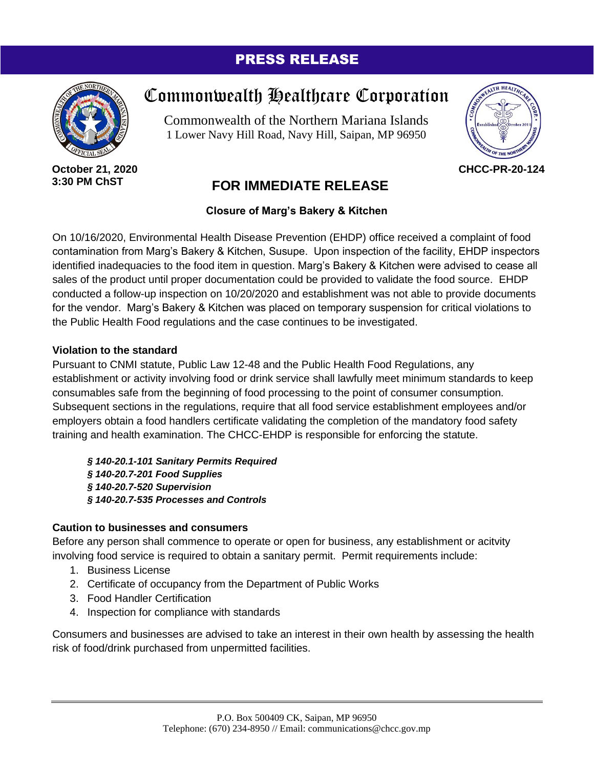## PRESS RELEASE



**October 21, 2020 3:30 PM ChST**

# Commonwealth Healthcare Corporation

Commonwealth of the Northern Mariana Islands 1 Lower Navy Hill Road, Navy Hill, Saipan, MP 96950



**CHCC-PR-20-124**

# **FOR IMMEDIATE RELEASE**

## **Closure of Marg's Bakery & Kitchen**

On 10/16/2020, Environmental Health Disease Prevention (EHDP) office received a complaint of food contamination from Marg's Bakery & Kitchen, Susupe. Upon inspection of the facility, EHDP inspectors identified inadequacies to the food item in question. Marg's Bakery & Kitchen were advised to cease all sales of the product until proper documentation could be provided to validate the food source. EHDP conducted a follow-up inspection on 10/20/2020 and establishment was not able to provide documents for the vendor. Marg's Bakery & Kitchen was placed on temporary suspension for critical violations to the Public Health Food regulations and the case continues to be investigated.

### **Violation to the standard**

Pursuant to CNMI statute, Public Law 12-48 and the Public Health Food Regulations, any establishment or activity involving food or drink service shall lawfully meet minimum standards to keep consumables safe from the beginning of food processing to the point of consumer consumption. Subsequent sections in the regulations, require that all food service establishment employees and/or employers obtain a food handlers certificate validating the completion of the mandatory food safety training and health examination. The CHCC-EHDP is responsible for enforcing the statute.

*§ 140-20.1-101 Sanitary Permits Required § 140-20.7-201 Food Supplies § 140-20.7-520 Supervision § 140-20.7-535 Processes and Controls* 

### **Caution to businesses and consumers**

Before any person shall commence to operate or open for business, any establishment or acitvity involving food service is required to obtain a sanitary permit. Permit requirements include:

- 1. Business License
- 2. Certificate of occupancy from the Department of Public Works
- 3. Food Handler Certification
- 4. Inspection for compliance with standards

Consumers and businesses are advised to take an interest in their own health by assessing the health risk of food/drink purchased from unpermitted facilities.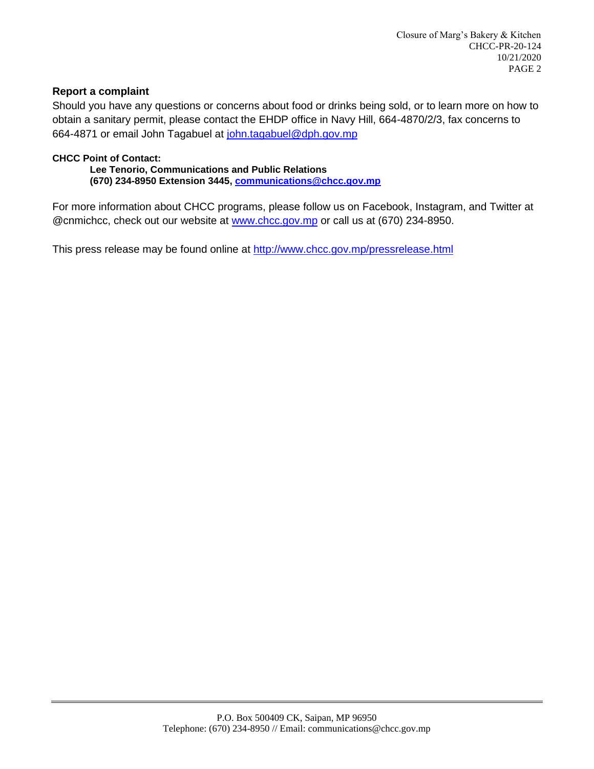#### **Report a complaint**

Should you have any questions or concerns about food or drinks being sold, or to learn more on how to obtain a sanitary permit, please contact the EHDP office in Navy Hill, 664-4870/2/3, fax concerns to 664-4871 or email John Tagabuel at [john.tagabuel@dph.gov.mp](mailto:john.tagabuel@dph.gov.mp)

#### **CHCC Point of Contact:**

 **Lee Tenorio, Communications and Public Relations (670) 234-8950 Extension 3445, [communications@chcc.gov.mp](mailto:communications@chcc.gov.mp)**

For more information about CHCC programs, please follow us on Facebook, Instagram, and Twitter at @cnmichcc, check out our website at [www.chcc.gov.mp](http://www.chcc.gov.mp/) or call us at (670) 234-8950.

This press release may be found online at<http://www.chcc.gov.mp/pressrelease.html>